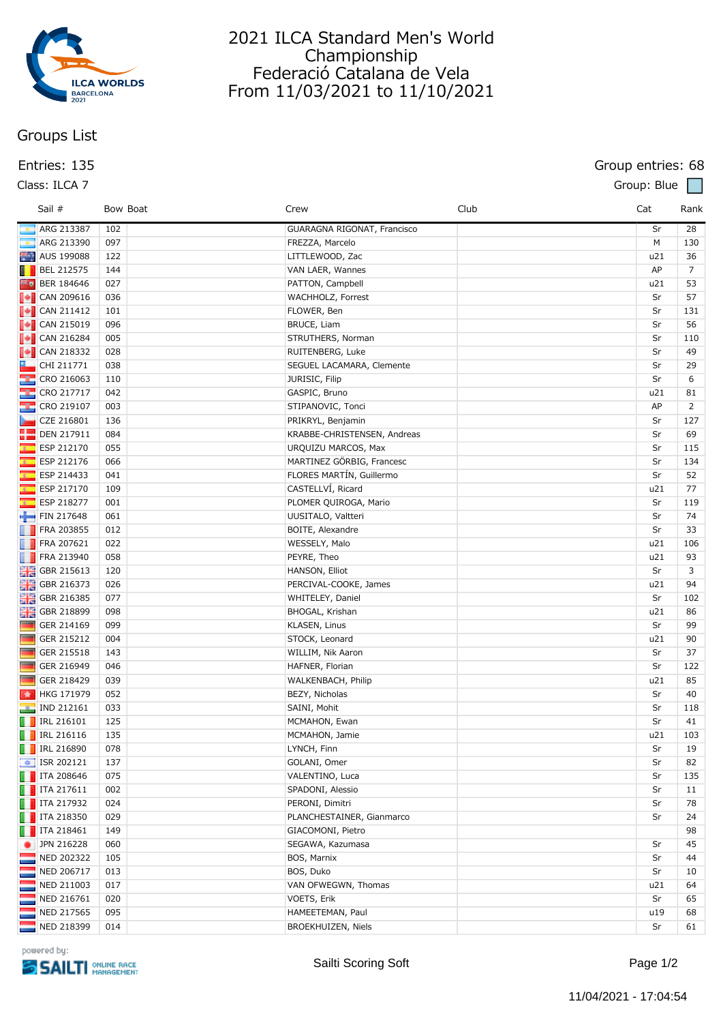

# **Groups List**

| Entries: 135                                                                     |          |                                    |      | Group entries: 68 |                |
|----------------------------------------------------------------------------------|----------|------------------------------------|------|-------------------|----------------|
| Class: ILCA 7                                                                    |          |                                    |      | Group: Blue       |                |
| Sail #                                                                           | Bow Boat | Crew                               | Club | Cat               | Rank           |
| ARG 213387                                                                       | 102      | <b>GUARAGNA RIGONAT, Francisco</b> |      | Sr                | 28             |
| ARG 213390                                                                       | 097      | FREZZA, Marcelo                    |      | M                 | 130            |
| AUS 199088                                                                       | 122      | LITTLEWOOD, Zac                    |      | u21               | 36             |
| BEL 212575                                                                       | 144      | VAN LAER, Wannes                   |      | AP                | $\overline{7}$ |
| <b>BER 184646</b>                                                                | 027      | PATTON, Campbell                   |      | u21               | 53             |
| $\begin{array}{ c c }\n\hline\n\end{array}$ CAN 209616                           | 036      | WACHHOLZ, Forrest                  |      | Sr                | 57             |
| $\bullet$ CAN 211412                                                             | 101      | FLOWER, Ben                        |      | Sr                | 131            |
| $\begin{array}{ c c c }\n\hline\n\hline\n\hline\n\hline\n\end{array}$ CAN 215019 | 096      | BRUCE, Liam                        |      | Sr                | 56             |
|                                                                                  | 005      | STRUTHERS, Norman                  |      | Sr                | 110            |
| $\begin{array}{ c c }\n\hline\n\hline\n\hline\n\hline\n\end{array}$ CAN 218332   | 028      | RUITENBERG, Luke                   |      | Sr                | 49             |
| L<br>CHI 211771                                                                  | 038      | SEGUEL LACAMARA, Clemente          |      | Sr                | 29             |
| $\frac{12}{100}$ CRO 216063                                                      | 110      | JURISIC, Filip                     |      | Sr                | 6              |
| <b>CRO 217717</b>                                                                | 042      | GASPIC, Bruno                      |      | u21               | 81             |
| <b>CRO 219107</b>                                                                | 003      | STIPANOVIC, Tonci                  |      | AP                | 2              |
| ⊾<br>CZE 216801                                                                  | 136      | PRIKRYL, Benjamin                  |      | Sr                | 127            |
| ₩<br><b>DEN 217911</b>                                                           | 084      | KRABBE-CHRISTENSEN, Andreas        |      | Sr                | 69             |
| $\overline{\mathbf{z}}$<br>ESP 212170                                            | 055      | URQUIZU MARCOS, Max                |      | Sr                | 115            |
| $\overline{\mathbf{z}}$<br>ESP 212176                                            | 066      | MARTINEZ GÖRBIG, Francesc          |      | Sr                | 134            |
| $\overline{\mathbf{r}}$<br>ESP 214433                                            | 041      | FLORES MARTÍN, Guillermo           |      | Sr                | 52             |
| $\overline{\mathbf{c}}$<br>ESP 217170                                            | 109      | CASTELLVÍ, Ricard                  |      | u21               | 77             |
| is in<br>ESP 218277                                                              | 001      | PLOMER QUIROGA, Mario              |      | Sr                | 119            |
| FIN 217648                                                                       | 061      | UUSITALO, Valtteri                 |      | Sr                | 74             |
| <b>FRA 203855</b>                                                                | 012      | BOITE, Alexandre                   |      | Sr                | 33             |
| <b>FRA 207621</b>                                                                | 022      | WESSELY, Malo                      |      | u21               | 106            |
| $\blacksquare$ FRA 213940                                                        | 058      | PFYRE Then                         |      | 1121              | 93             |

|                                                                                                                                                                                                                                | <b>BEL 212575</b>                                                                        | 144 | VAN LAER, Wannes            | AP  | 7              |
|--------------------------------------------------------------------------------------------------------------------------------------------------------------------------------------------------------------------------------|------------------------------------------------------------------------------------------|-----|-----------------------------|-----|----------------|
|                                                                                                                                                                                                                                | <b>ED</b> BER 184646                                                                     | 027 | PATTON, Campbell            | u21 | 53             |
|                                                                                                                                                                                                                                | $\begin{array}{ c c c }\n\hline\n\end{array}$ CAN 209616                                 | 036 | WACHHOLZ, Forrest           | Sr  | 57             |
|                                                                                                                                                                                                                                |                                                                                          | 101 | FLOWER, Ben                 | Sr  | 131            |
|                                                                                                                                                                                                                                | $\begin{array}{ c c }\n\hline\n\end{array}$ CAN 215019                                   | 096 | BRUCE, Liam                 | Sr  | 56             |
|                                                                                                                                                                                                                                | $\begin{array}{ c c c }\n\hline\n\hline\n\hline\n\end{array}$ CAN 216284                 | 005 | STRUTHERS, Norman           | Sr  | 110            |
|                                                                                                                                                                                                                                | $\begin{array}{ c c c }\n\hline\n\hline\n\hline\n\hline\n\hline\n\end{array}$ CAN 218332 | 028 | RUITENBERG, Luke            | Sr  | 49             |
|                                                                                                                                                                                                                                | CHI 211771                                                                               | 038 | SEGUEL LACAMARA, Clemente   | Sr  | 29             |
|                                                                                                                                                                                                                                | CRO 216063                                                                               | 110 | JURISIC, Filip              | Sr  | 6              |
|                                                                                                                                                                                                                                | <b>8</b> CRO 217717                                                                      | 042 | GASPIC, Bruno               | u21 | 81             |
|                                                                                                                                                                                                                                | <b>8</b> CRO 219107                                                                      | 003 | STIPANOVIC, Tonci           | AP  | $\overline{2}$ |
|                                                                                                                                                                                                                                | CZE 216801                                                                               | 136 | PRIKRYL, Benjamin           | Sr  | 127            |
|                                                                                                                                                                                                                                |                                                                                          | 084 | KRABBE-CHRISTENSEN, Andreas | Sr  | 69             |
|                                                                                                                                                                                                                                | ESP 212170                                                                               | 055 | URQUIZU MARCOS, Max         | Sr  | 115            |
|                                                                                                                                                                                                                                | ESP 212176                                                                               | 066 | MARTINEZ GÖRBIG, Francesc   | Sr  | 134            |
| k.                                                                                                                                                                                                                             | ESP 214433                                                                               | 041 | FLORES MARTÍN, Guillermo    | Sr  | 52             |
| x,                                                                                                                                                                                                                             | ESP 217170                                                                               | 109 | CASTELLVÍ, Ricard           | u21 | 77             |
| x.                                                                                                                                                                                                                             | ESP 218277                                                                               | 001 | PLOMER QUIROGA, Mario       | Sr  | 119            |
|                                                                                                                                                                                                                                | FIN 217648                                                                               | 061 | UUSITALO, Valtteri          | Sr  | 74             |
|                                                                                                                                                                                                                                | <b>FRA 203855</b>                                                                        | 012 | BOITE, Alexandre            | Sr  | 33             |
|                                                                                                                                                                                                                                | <b>FRA 207621</b>                                                                        | 022 | WESSELY, Malo               | u21 | 106            |
|                                                                                                                                                                                                                                | FRA 213940                                                                               | 058 | PEYRE, Theo                 | u21 | 93             |
|                                                                                                                                                                                                                                | $\frac{12}{10}$ GBR 215613                                                               | 120 | HANSON, Elliot              | Sr  | 3              |
|                                                                                                                                                                                                                                | $\frac{1}{2}$ GBR 216373                                                                 | 026 | PERCIVAL-COOKE, James       | u21 | 94             |
| 讔                                                                                                                                                                                                                              | GBR 216385                                                                               | 077 | WHITELEY, Daniel            | Sr  | 102            |
|                                                                                                                                                                                                                                | <b>H</b> GBR 218899                                                                      | 098 | BHOGAL, Krishan             | u21 | 86             |
| <b>STAR</b>                                                                                                                                                                                                                    | GER 214169                                                                               | 099 | KLASEN, Linus               | Sr  | 99             |
| and and project of the contract of the contract of the contract of the contract of the contract of the contract of the contract of the contract of the contract of the contract of the contract of the contract of the contrac | GER 215212                                                                               | 004 | STOCK, Leonard              | u21 | 90             |
| <b>Separate</b>                                                                                                                                                                                                                | GER 215518                                                                               | 143 | WILLIM, Nik Aaron           | Sr  | 37             |
| and i                                                                                                                                                                                                                          | GER 216949                                                                               | 046 | HAFNER, Florian             | Sr  | 122            |
| <b>Service</b>                                                                                                                                                                                                                 | GER 218429                                                                               | 039 | WALKENBACH, Philip          | u21 | 85             |
|                                                                                                                                                                                                                                | HKG 171979                                                                               | 052 | BEZY, Nicholas              | Sr  | 40             |
|                                                                                                                                                                                                                                | <b>a</b> IND 212161                                                                      | 033 | SAINI, Mohit                | Sr  | 118            |
|                                                                                                                                                                                                                                | $\blacksquare$ IRL 216101                                                                | 125 | MCMAHON, Ewan               | Sr  | 41             |
|                                                                                                                                                                                                                                | $\blacksquare$ IRL 216116                                                                | 135 | MCMAHON, Jamie              | u21 | 103            |
|                                                                                                                                                                                                                                | <b>F</b> IRL 216890                                                                      | 078 | LYNCH, Finn                 | Sr  | 19             |
|                                                                                                                                                                                                                                | <b>■</b> ISR 202121                                                                      | 137 | GOLANI, Omer                | Sr  | 82             |
|                                                                                                                                                                                                                                | <b>T</b> ITA 208646                                                                      | 075 | VALENTINO, Luca             | Sr  | 135            |
|                                                                                                                                                                                                                                | $\blacksquare$ ITA 217611                                                                | 002 | SPADONI, Alessio            | Sr  | 11             |
|                                                                                                                                                                                                                                | $\blacksquare$ ITA 217932                                                                | 024 | PERONI, Dimitri             | Sr  | 78             |
|                                                                                                                                                                                                                                | <b>T</b> ITA 218350                                                                      | 029 | PLANCHESTAINER, Gianmarco   | Sr  | 24             |
|                                                                                                                                                                                                                                | TTA 218461                                                                               | 149 | GIACOMONI, Pietro           |     | 98             |
|                                                                                                                                                                                                                                | JPN 216228                                                                               | 060 | SEGAWA, Kazumasa            | Sr  | 45             |
|                                                                                                                                                                                                                                | NED 202322                                                                               | 105 | BOS, Marnix                 | Sr  | 44             |
|                                                                                                                                                                                                                                | NED 206717                                                                               | 013 | BOS, Duko                   | Sr  | 10             |
|                                                                                                                                                                                                                                | NED 211003                                                                               | 017 | VAN OFWEGWN, Thomas         | u21 | 64             |
|                                                                                                                                                                                                                                | NED 216761                                                                               | 020 | VOETS, Erik                 | Sr  | 65             |
|                                                                                                                                                                                                                                | NED 217565                                                                               | 095 | HAMEETEMAN, Paul            | u19 | 68             |
|                                                                                                                                                                                                                                | NED 218399                                                                               | 014 | BROEKHUIZEN, Niels          | Sr  | 61             |
|                                                                                                                                                                                                                                |                                                                                          |     |                             |     |                |

2021 ILCA Standard Men's World Championship Federació Catalana de Vela From 11/03/2021 to 11/10/2021